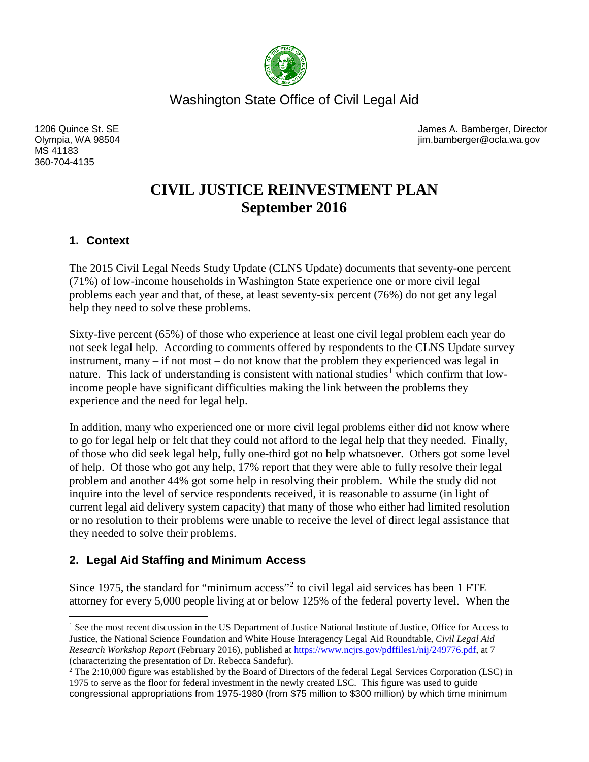

Washington State Office of Civil Legal Aid

MS 41183 360-704-4135

1206 Quince St. SE **1206** Quince St. Set James A. Bamberger, Director Olympia, WA 98504 jim.bamberger@ocla.wa.gov

# **CIVIL JUSTICE REINVESTMENT PLAN September 2016**

## **1. Context**

The 2015 Civil Legal Needs Study Update (CLNS Update) documents that seventy-one percent (71%) of low-income households in Washington State experience one or more civil legal problems each year and that, of these, at least seventy-six percent (76%) do not get any legal help they need to solve these problems.

Sixty-five percent (65%) of those who experience at least one civil legal problem each year do not seek legal help. According to comments offered by respondents to the CLNS Update survey instrument, many – if not most – do not know that the problem they experienced was legal in nature. This lack of understanding is consistent with national studies<sup>[1](#page-0-0)</sup> which confirm that lowincome people have significant difficulties making the link between the problems they experience and the need for legal help.

In addition, many who experienced one or more civil legal problems either did not know where to go for legal help or felt that they could not afford to the legal help that they needed. Finally, of those who did seek legal help, fully one-third got no help whatsoever. Others got some level of help. Of those who got any help, 17% report that they were able to fully resolve their legal problem and another 44% got some help in resolving their problem. While the study did not inquire into the level of service respondents received, it is reasonable to assume (in light of current legal aid delivery system capacity) that many of those who either had limited resolution or no resolution to their problems were unable to receive the level of direct legal assistance that they needed to solve their problems.

# **2. Legal Aid Staffing and Minimum Access**

Since 1975, the standard for "minimum access"<sup>[2](#page-0-1)</sup> to civil legal aid services has been 1 FTE attorney for every 5,000 people living at or below 125% of the federal poverty level. When the

<span id="page-0-0"></span><sup>&</sup>lt;sup>1</sup> See the most recent discussion in the US Department of Justice National Institute of Justice, Office for Access to Justice, the National Science Foundation and White House Interagency Legal Aid Roundtable, *Civil Legal Aid Research Workshop Report* (February 2016), published at [https://www.ncjrs.gov/pdffiles1/nij/249776.pdf,](https://www.ncjrs.gov/pdffiles1/nij/249776.pdf) at 7 (characterizing the presentation of Dr. Rebecca Sandefur).

<span id="page-0-1"></span><sup>&</sup>lt;sup>2</sup> The 2:10,000 figure was established by the Board of Directors of the federal Legal Services Corporation (LSC) in 1975 to serve as the floor for federal investment in the newly created LSC. This figure was used to guide congressional appropriations from 1975-1980 (from \$75 million to \$300 million) by which time minimum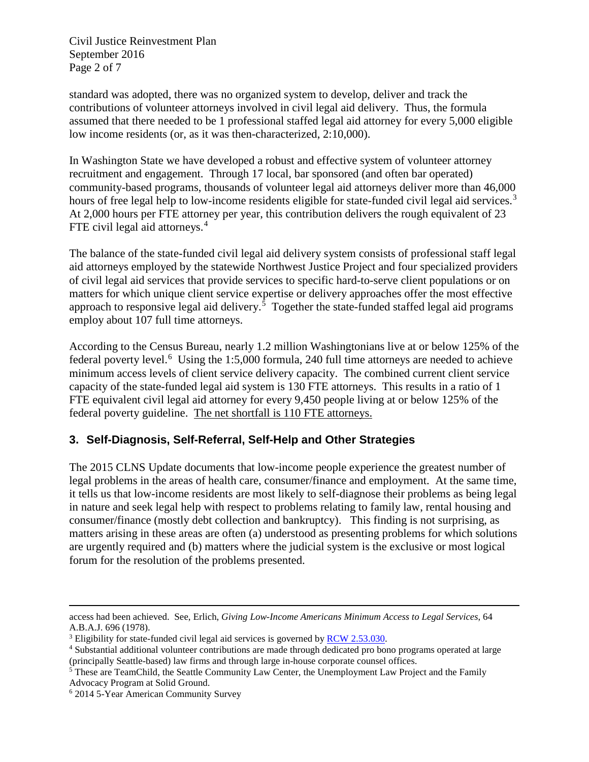Civil Justice Reinvestment Plan September 2016 Page 2 of 7

standard was adopted, there was no organized system to develop, deliver and track the contributions of volunteer attorneys involved in civil legal aid delivery. Thus, the formula assumed that there needed to be 1 professional staffed legal aid attorney for every 5,000 eligible low income residents (or, as it was then-characterized, 2:10,000).

In Washington State we have developed a robust and effective system of volunteer attorney recruitment and engagement. Through 17 local, bar sponsored (and often bar operated) community-based programs, thousands of volunteer legal aid attorneys deliver more than 46,000 hours of free legal help to low-income residents eligible for state-funded civil legal aid services.<sup>[3](#page-1-0)</sup> At 2,000 hours per FTE attorney per year, this contribution delivers the rough equivalent of 23 FTE civil legal aid attorneys.<sup>[4](#page-1-1)</sup>

The balance of the state-funded civil legal aid delivery system consists of professional staff legal aid attorneys employed by the statewide Northwest Justice Project and four specialized providers of civil legal aid services that provide services to specific hard-to-serve client populations or on matters for which unique client service expertise or delivery approaches offer the most effective approach to responsive legal aid delivery.<sup>[5](#page-1-2)</sup> Together the state-funded staffed legal aid programs employ about 107 full time attorneys.

According to the Census Bureau, nearly 1.2 million Washingtonians live at or below 125% of the federal poverty level.<sup>[6](#page-1-3)</sup> Using the 1:5,000 formula, 240 full time attorneys are needed to achieve minimum access levels of client service delivery capacity. The combined current client service capacity of the state-funded legal aid system is 130 FTE attorneys. This results in a ratio of 1 FTE equivalent civil legal aid attorney for every 9,450 people living at or below 125% of the federal poverty guideline. The net shortfall is 110 FTE attorneys.

## **3. Self-Diagnosis, Self-Referral, Self-Help and Other Strategies**

The 2015 CLNS Update documents that low-income people experience the greatest number of legal problems in the areas of health care, consumer/finance and employment. At the same time, it tells us that low-income residents are most likely to self-diagnose their problems as being legal in nature and seek legal help with respect to problems relating to family law, rental housing and consumer/finance (mostly debt collection and bankruptcy). This finding is not surprising, as matters arising in these areas are often (a) understood as presenting problems for which solutions are urgently required and (b) matters where the judicial system is the exclusive or most logical forum for the resolution of the problems presented.

 $\overline{a}$ 

access had been achieved. See, Erlich, *Giving Low-Income Americans Minimum Access to Legal Services*, 64 A.B.A.J. 696 (1978).

<span id="page-1-0"></span><sup>&</sup>lt;sup>3</sup> Eligibility for state-funded civil legal aid services is governed by [RCW 2.53.030.](http://app.leg.wa.gov/RCW/default.aspx?cite=2.53.030)

<span id="page-1-1"></span><sup>4</sup> Substantial additional volunteer contributions are made through dedicated pro bono programs operated at large (principally Seattle-based) law firms and through large in-house corporate counsel offices.

<span id="page-1-2"></span><sup>&</sup>lt;sup>5</sup> These are TeamChild, the Seattle Community Law Center, the Unemployment Law Project and the Family Advocacy Program at Solid Ground.

<span id="page-1-3"></span><sup>6</sup> 2014 5-Year American Community Survey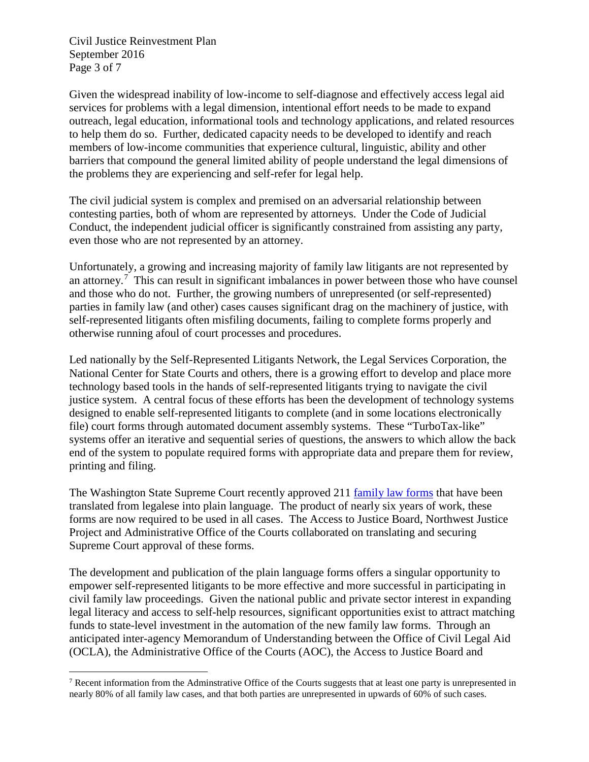Civil Justice Reinvestment Plan September 2016 Page 3 of 7

Given the widespread inability of low-income to self-diagnose and effectively access legal aid services for problems with a legal dimension, intentional effort needs to be made to expand outreach, legal education, informational tools and technology applications, and related resources to help them do so. Further, dedicated capacity needs to be developed to identify and reach members of low-income communities that experience cultural, linguistic, ability and other barriers that compound the general limited ability of people understand the legal dimensions of the problems they are experiencing and self-refer for legal help.

The civil judicial system is complex and premised on an adversarial relationship between contesting parties, both of whom are represented by attorneys. Under the Code of Judicial Conduct, the independent judicial officer is significantly constrained from assisting any party, even those who are not represented by an attorney.

Unfortunately, a growing and increasing majority of family law litigants are not represented by an attorney.<sup>[7](#page-2-0)</sup> This can result in significant imbalances in power between those who have counsel and those who do not. Further, the growing numbers of unrepresented (or self-represented) parties in family law (and other) cases causes significant drag on the machinery of justice, with self-represented litigants often misfiling documents, failing to complete forms properly and otherwise running afoul of court processes and procedures.

Led nationally by the Self-Represented Litigants Network, the Legal Services Corporation, the National Center for State Courts and others, there is a growing effort to develop and place more technology based tools in the hands of self-represented litigants trying to navigate the civil justice system. A central focus of these efforts has been the development of technology systems designed to enable self-represented litigants to complete (and in some locations electronically file) court forms through automated document assembly systems. These "TurboTax-like" systems offer an iterative and sequential series of questions, the answers to which allow the back end of the system to populate required forms with appropriate data and prepare them for review, printing and filing.

The Washington State Supreme Court recently approved 211 [family law forms](http://www.courts.wa.gov/forms/?fa=forms.static&staticID=20) that have been translated from legalese into plain language. The product of nearly six years of work, these forms are now required to be used in all cases. The Access to Justice Board, Northwest Justice Project and Administrative Office of the Courts collaborated on translating and securing Supreme Court approval of these forms.

The development and publication of the plain language forms offers a singular opportunity to empower self-represented litigants to be more effective and more successful in participating in civil family law proceedings. Given the national public and private sector interest in expanding legal literacy and access to self-help resources, significant opportunities exist to attract matching funds to state-level investment in the automation of the new family law forms. Through an anticipated inter-agency Memorandum of Understanding between the Office of Civil Legal Aid (OCLA), the Administrative Office of the Courts (AOC), the Access to Justice Board and

<span id="page-2-0"></span> $<sup>7</sup>$  Recent information from the Adminstrative Office of the Courts suggests that at least one party is unrepresented in</sup> nearly 80% of all family law cases, and that both parties are unrepresented in upwards of 60% of such cases.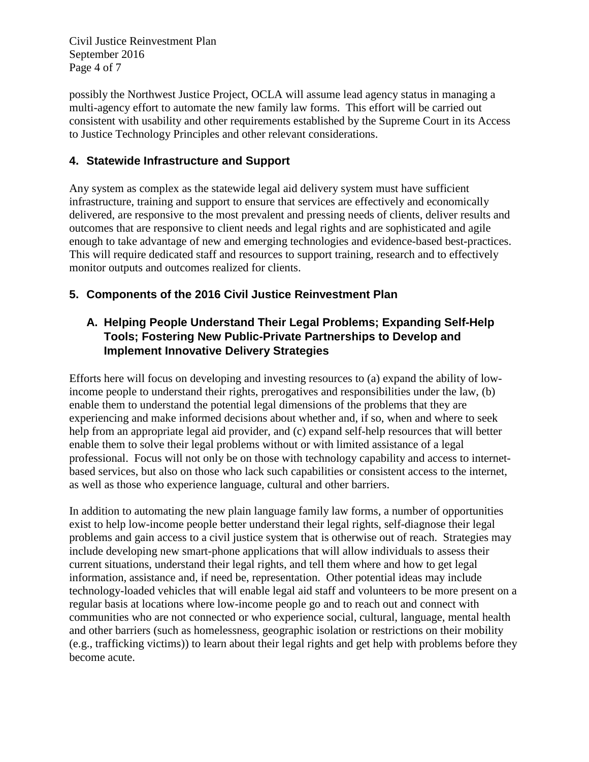Civil Justice Reinvestment Plan September 2016 Page 4 of 7

possibly the Northwest Justice Project, OCLA will assume lead agency status in managing a multi-agency effort to automate the new family law forms. This effort will be carried out consistent with usability and other requirements established by the Supreme Court in its Access to Justice Technology Principles and other relevant considerations.

## **4. Statewide Infrastructure and Support**

Any system as complex as the statewide legal aid delivery system must have sufficient infrastructure, training and support to ensure that services are effectively and economically delivered, are responsive to the most prevalent and pressing needs of clients, deliver results and outcomes that are responsive to client needs and legal rights and are sophisticated and agile enough to take advantage of new and emerging technologies and evidence-based best-practices. This will require dedicated staff and resources to support training, research and to effectively monitor outputs and outcomes realized for clients.

#### **5. Components of the 2016 Civil Justice Reinvestment Plan**

# **A. Helping People Understand Their Legal Problems; Expanding Self-Help Tools; Fostering New Public-Private Partnerships to Develop and Implement Innovative Delivery Strategies**

Efforts here will focus on developing and investing resources to (a) expand the ability of lowincome people to understand their rights, prerogatives and responsibilities under the law, (b) enable them to understand the potential legal dimensions of the problems that they are experiencing and make informed decisions about whether and, if so, when and where to seek help from an appropriate legal aid provider, and (c) expand self-help resources that will better enable them to solve their legal problems without or with limited assistance of a legal professional. Focus will not only be on those with technology capability and access to internetbased services, but also on those who lack such capabilities or consistent access to the internet, as well as those who experience language, cultural and other barriers.

In addition to automating the new plain language family law forms, a number of opportunities exist to help low-income people better understand their legal rights, self-diagnose their legal problems and gain access to a civil justice system that is otherwise out of reach. Strategies may include developing new smart-phone applications that will allow individuals to assess their current situations, understand their legal rights, and tell them where and how to get legal information, assistance and, if need be, representation. Other potential ideas may include technology-loaded vehicles that will enable legal aid staff and volunteers to be more present on a regular basis at locations where low-income people go and to reach out and connect with communities who are not connected or who experience social, cultural, language, mental health and other barriers (such as homelessness, geographic isolation or restrictions on their mobility (e.g., trafficking victims)) to learn about their legal rights and get help with problems before they become acute.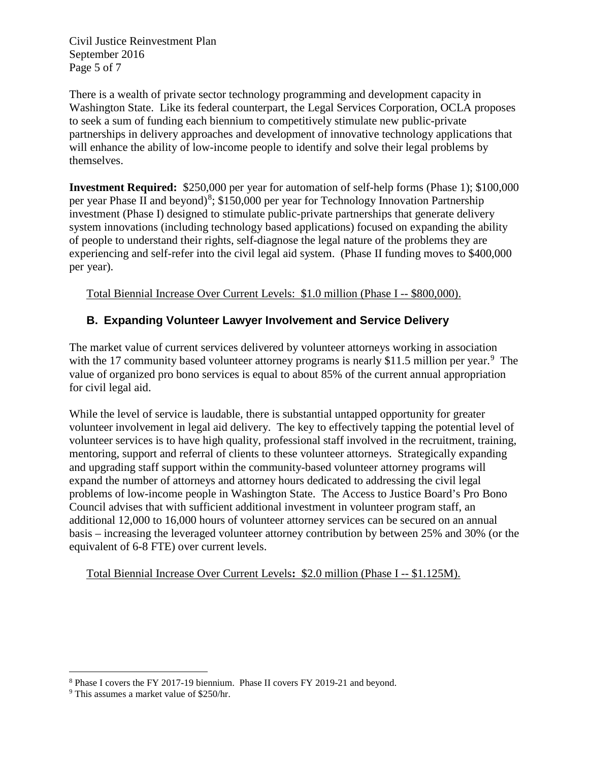Civil Justice Reinvestment Plan September 2016 Page 5 of 7

There is a wealth of private sector technology programming and development capacity in Washington State. Like its federal counterpart, the Legal Services Corporation, OCLA proposes to seek a sum of funding each biennium to competitively stimulate new public-private partnerships in delivery approaches and development of innovative technology applications that will enhance the ability of low-income people to identify and solve their legal problems by themselves.

**Investment Required:** \$250,000 per year for automation of self-help forms (Phase 1); \$100,000 per year Phase II and beyond)<sup>[8](#page-4-0)</sup>; \$150,000 per year for Technology Innovation Partnership investment (Phase I) designed to stimulate public-private partnerships that generate delivery system innovations (including technology based applications) focused on expanding the ability of people to understand their rights, self-diagnose the legal nature of the problems they are experiencing and self-refer into the civil legal aid system. (Phase II funding moves to \$400,000 per year).

Total Biennial Increase Over Current Levels: \$1.0 million (Phase I -- \$800,000).

# **B. Expanding Volunteer Lawyer Involvement and Service Delivery**

The market value of current services delivered by volunteer attorneys working in association with the 17 community based volunteer attorney programs is nearly \$11.5 million per year.<sup>[9](#page-4-1)</sup> The value of organized pro bono services is equal to about 85% of the current annual appropriation for civil legal aid.

While the level of service is laudable, there is substantial untapped opportunity for greater volunteer involvement in legal aid delivery. The key to effectively tapping the potential level of volunteer services is to have high quality, professional staff involved in the recruitment, training, mentoring, support and referral of clients to these volunteer attorneys. Strategically expanding and upgrading staff support within the community-based volunteer attorney programs will expand the number of attorneys and attorney hours dedicated to addressing the civil legal problems of low-income people in Washington State. The Access to Justice Board's Pro Bono Council advises that with sufficient additional investment in volunteer program staff, an additional 12,000 to 16,000 hours of volunteer attorney services can be secured on an annual basis – increasing the leveraged volunteer attorney contribution by between 25% and 30% (or the equivalent of 6-8 FTE) over current levels.

Total Biennial Increase Over Current Levels**:** \$2.0 million (Phase I -- \$1.125M).

<span id="page-4-0"></span> <sup>8</sup> Phase I covers the FY 2017-19 biennium. Phase II covers FY 2019-21 and beyond.

<span id="page-4-1"></span><sup>9</sup> This assumes a market value of \$250/hr.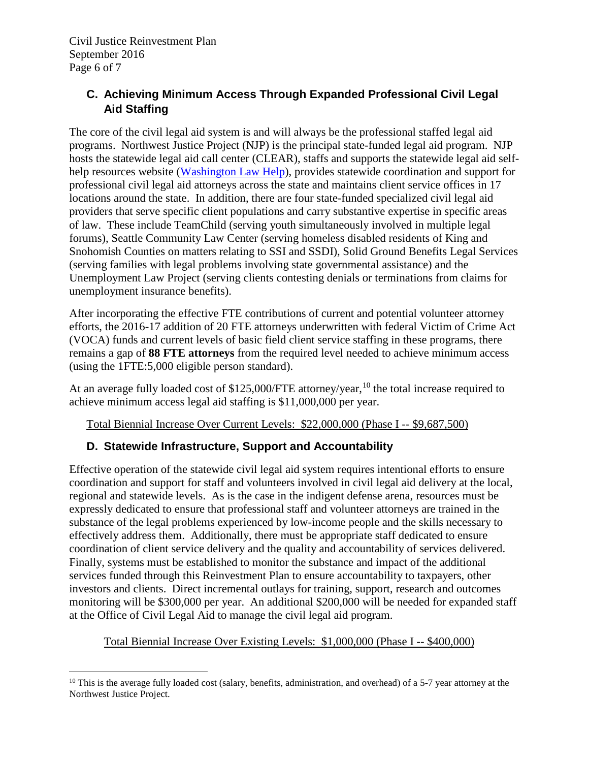# **C. Achieving Minimum Access Through Expanded Professional Civil Legal Aid Staffing**

The core of the civil legal aid system is and will always be the professional staffed legal aid programs. Northwest Justice Project (NJP) is the principal state-funded legal aid program. NJP hosts the statewide legal aid call center (CLEAR), staffs and supports the statewide legal aid self-help resources website [\(Washington Law Help\)](http://www.washingtonlawhelp.org/), provides statewide coordination and support for professional civil legal aid attorneys across the state and maintains client service offices in 17 locations around the state. In addition, there are four state-funded specialized civil legal aid providers that serve specific client populations and carry substantive expertise in specific areas of law. These include TeamChild (serving youth simultaneously involved in multiple legal forums), Seattle Community Law Center (serving homeless disabled residents of King and Snohomish Counties on matters relating to SSI and SSDI), Solid Ground Benefits Legal Services (serving families with legal problems involving state governmental assistance) and the Unemployment Law Project (serving clients contesting denials or terminations from claims for unemployment insurance benefits).

After incorporating the effective FTE contributions of current and potential volunteer attorney efforts, the 2016-17 addition of 20 FTE attorneys underwritten with federal Victim of Crime Act (VOCA) funds and current levels of basic field client service staffing in these programs, there remains a gap of **88 FTE attorneys** from the required level needed to achieve minimum access (using the 1FTE:5,000 eligible person standard).

At an average fully loaded cost of \$125,000/FTE attorney/year,<sup>[10](#page-5-0)</sup> the total increase required to achieve minimum access legal aid staffing is \$11,000,000 per year.

Total Biennial Increase Over Current Levels: \$22,000,000 (Phase I -- \$9,687,500)

# **D. Statewide Infrastructure, Support and Accountability**

Effective operation of the statewide civil legal aid system requires intentional efforts to ensure coordination and support for staff and volunteers involved in civil legal aid delivery at the local, regional and statewide levels. As is the case in the indigent defense arena, resources must be expressly dedicated to ensure that professional staff and volunteer attorneys are trained in the substance of the legal problems experienced by low-income people and the skills necessary to effectively address them. Additionally, there must be appropriate staff dedicated to ensure coordination of client service delivery and the quality and accountability of services delivered. Finally, systems must be established to monitor the substance and impact of the additional services funded through this Reinvestment Plan to ensure accountability to taxpayers, other investors and clients. Direct incremental outlays for training, support, research and outcomes monitoring will be \$300,000 per year. An additional \$200,000 will be needed for expanded staff at the Office of Civil Legal Aid to manage the civil legal aid program.

## Total Biennial Increase Over Existing Levels: \$1,000,000 (Phase I -- \$400,000)

<span id="page-5-0"></span> $10$  This is the average fully loaded cost (salary, benefits, administration, and overhead) of a 5-7 year attorney at the Northwest Justice Project.